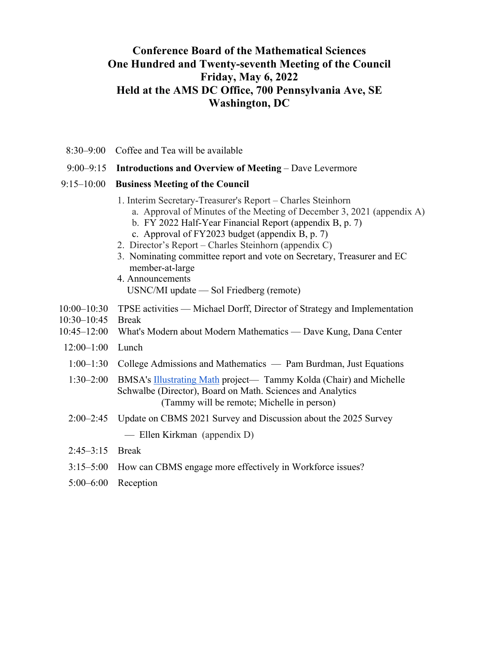# **Conference Board of the Mathematical Sciences One Hundred and Twenty-seventh Meeting of the Council Friday, May 6, 2022 Held at the AMS DC Office, 700 Pennsylvania Ave, SE Washington, DC**

- 8:30–9:00 Coffee and Tea will be available
- 9:00–9:15 **Introductions and Overview of Meeting** Dave Levermore

### 9:15–10:00 **Business Meeting of the Council**

- 1. Interim Secretary-Treasurer's Report Charles Steinhorn
	- a. Approval of Minutes of the Meeting of December 3, 2021 (appendix A)
		- b. FY 2022 Half-Year Financial Report (appendix B, p. 7)
		- c. Approval of FY2023 budget (appendix B, p. 7)
- 2. Director's Report Charles Steinhorn (appendix C)
- 3. Nominating committee report and vote on Secretary, Treasurer and EC member-at-large
- 4. Announcements USNC/MI update — Sol Friedberg (remote)
- 10:00–10:30 TPSE activities Michael Dorff, Director of Strategy and Implementation
- 10:30–10:45 Break
- 10:45–12:00 What's Modern about Modern Mathematics Dave Kung, Dana Center
- 12:00–1:00 Lunch
- 1:00–1:30 College Admissions and Mathematics Pam Burdman, Just Equations
- 1:30–2:00 BMSA's Illustrating Math project— Tammy Kolda (Chair) and Michelle Schwalbe (Director), Board on Math. Sciences and Analytics (Tammy will be remote; Michelle in person)
- 2:00–2:45 Update on CBMS 2021 Survey and Discussion about the 2025 Survey

— Ellen Kirkman (appendix D)

- 2:45–3:15 Break
- 3:15–5:00 How can CBMS engage more effectively in Workforce issues?
- 5:00–6:00 Reception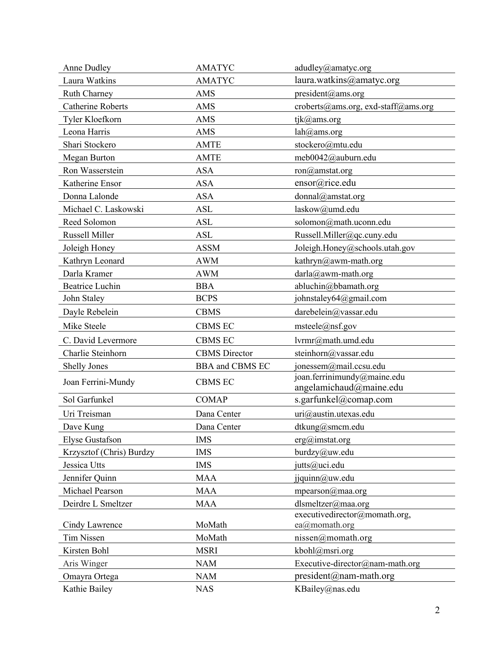| <b>Anne Dudley</b>       | <b>AMATYC</b>          | adudley@amatyc.org                                     |
|--------------------------|------------------------|--------------------------------------------------------|
| Laura Watkins            | <b>AMATYC</b>          | laura.watkins@amatyc.org                               |
| Ruth Charney             | AMS                    | president@ams.org                                      |
| <b>Catherine Roberts</b> | <b>AMS</b>             | croberts@ams.org, exd-staff@ams.org                    |
| Tyler Kloefkorn          | <b>AMS</b>             | tjk@ams.org                                            |
| Leona Harris             | <b>AMS</b>             | lah@ams.org                                            |
| Shari Stockero           | <b>AMTE</b>            | stockero@mtu.edu                                       |
| <b>Megan Burton</b>      | <b>AMTE</b>            | meb0042@auburn.edu                                     |
| Ron Wasserstein          | <b>ASA</b>             | $ron(\theta)$ amstat.org                               |
| Katherine Ensor          | <b>ASA</b>             | ensor@rice.edu                                         |
| Donna Lalonde            | <b>ASA</b>             | donnal@amstat.org                                      |
| Michael C. Laskowski     | <b>ASL</b>             | laskow@umd.edu                                         |
| Reed Solomon             | <b>ASL</b>             | solomon@math.uconn.edu                                 |
| Russell Miller           | <b>ASL</b>             | Russell.Miller@qc.cuny.edu                             |
| Joleigh Honey            | <b>ASSM</b>            | Joleigh.Honey@schools.utah.gov                         |
| Kathryn Leonard          | <b>AWM</b>             | kathryn@awm-math.org                                   |
| Darla Kramer             | <b>AWM</b>             | $darla@awm-math.org$                                   |
| <b>Beatrice Luchin</b>   | <b>BBA</b>             | abluchin@bbamath.org                                   |
| John Staley              | <b>BCPS</b>            | johnstaley64@gmail.com                                 |
| Dayle Rebelein           | <b>CBMS</b>            | darebelein@vassar.edu                                  |
| Mike Steele              | <b>CBMS EC</b>         | msteele(@nsf.gov)                                      |
| C. David Levermore       | <b>CBMS EC</b>         | lvrmr@math.umd.edu                                     |
| Charlie Steinhorn        | <b>CBMS</b> Director   | steinhorn@vassar.edu                                   |
| <b>Shelly Jones</b>      | <b>BBA</b> and CBMS EC | jonessem@mail.ccsu.edu                                 |
| Joan Ferrini-Mundy       | <b>CBMS EC</b>         | joan.ferrinimundy@maine.edu<br>angelamichaud@maine.edu |
| Sol Garfunkel            | <b>COMAP</b>           | s.garfunkel@comap.com                                  |
| Uri Treisman             | Dana Center            | uri@austin.utexas.edu                                  |
| Dave Kung                | Dana Center            | dtkung@smcm.edu                                        |
| Elyse Gustafson          | <b>IMS</b>             | $erg(a)$ imstat.org                                    |
| Krzysztof (Chris) Burdzy | <b>IMS</b>             | burdzy@uw.edu                                          |
| Jessica Utts             | <b>IMS</b>             | jutts@uci.edu                                          |
| Jennifer Quinn           | <b>MAA</b>             | jjquinn@uw.edu                                         |
| Michael Pearson          | <b>MAA</b>             | mpearson $@$ maa.org                                   |
| Deirdre L Smeltzer       | <b>MAA</b>             | dlsmeltzer@maa.org                                     |
| Cindy Lawrence           | MoMath                 | executivedirector@momath.org,<br>ea@momath.org         |
| Tim Nissen               | MoMath                 | nissen@momath.org                                      |
| Kirsten Bohl             | <b>MSRI</b>            | kbohl@msri.org                                         |
|                          |                        |                                                        |
| Aris Winger              | <b>NAM</b>             | Executive-director@nam-math.org                        |
| Omayra Ortega            | <b>NAM</b>             | $president@nam-math.org$                               |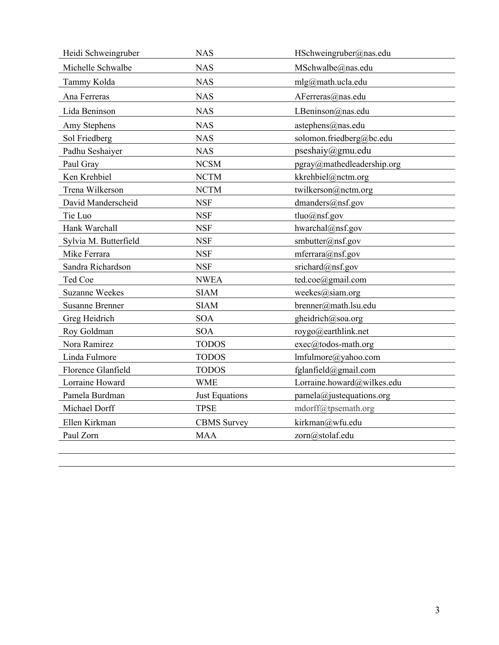| Heidi Schweingruber    | <b>NAS</b>         | HSchweingruber@nas.edu      |
|------------------------|--------------------|-----------------------------|
| Michelle Schwalbe      | <b>NAS</b>         | MSchwalbe@nas.edu           |
| Tammy Kolda            | <b>NAS</b>         | $mlg(\omega)$ math.ucla.edu |
| Ana Ferreras           | <b>NAS</b>         | AFerreras@nas.edu           |
| Lida Beninson          | <b>NAS</b>         | LBeninson@nas.edu           |
| Amy Stephens           | <b>NAS</b>         | astephens@nas.edu           |
| Sol Friedberg          | <b>NAS</b>         | solomon.friedberg@bc.edu    |
| Padhu Seshaiyer        | <b>NAS</b>         | pseshaiy@gmu.edu            |
| Paul Gray              | <b>NCSM</b>        | pgray@mathedleadership.org  |
| Ken Krehbiel           | <b>NCTM</b>        | kkrehbiel@nctm.org          |
| Trena Wilkerson        | <b>NCTM</b>        | twilkerson@nctm.org         |
| David Manderscheid     | <b>NSF</b>         | $d$ manders@nsf.gov         |
| Tie Luo                | <b>NSF</b>         | $tluo(a)$ nsf.gov           |
| Hank Warchall          | <b>NSF</b>         | hwarchal@nsf.gov            |
| Sylvia M. Butterfield  | <b>NSF</b>         | smbutter@nsf.gov            |
| Mike Ferrara           | <b>NSF</b>         | mferrara@nsf.gov            |
| Sandra Richardson      | <b>NSF</b>         | srichard@nsf.gov            |
| Ted Coe                | <b>NWEA</b>        | ted.coe@gmail.com           |
| <b>Suzanne Weekes</b>  | <b>SIAM</b>        | weekes@siam.org             |
| <b>Susanne Brenner</b> | <b>SIAM</b>        | brenner@math.lsu.edu        |
| Greg Heidrich          | <b>SOA</b>         | gheidrich@soa.org           |
| Roy Goldman            | <b>SOA</b>         | roygo@earthlink.net         |
| Nora Ramirez           | <b>TODOS</b>       | exec@todos-math.org         |
| Linda Fulmore          | <b>TODOS</b>       | lmfulmore@yahoo.com         |
| Florence Glanfield     | <b>TODOS</b>       | fglanfield@gmail.com        |
| Lorraine Howard        | <b>WME</b>         | Lorraine.howard@wilkes.edu  |
| Pamela Burdman         | Just Equations     | $p$ amela@justequations.org |
| Michael Dorff          | <b>TPSE</b>        | mdorff@tpsemath.org         |
| Ellen Kirkman          | <b>CBMS</b> Survey | kirkman@wfu.edu             |
| Paul Zorn              | <b>MAA</b>         | zorn@stolaf.edu             |
|                        |                    |                             |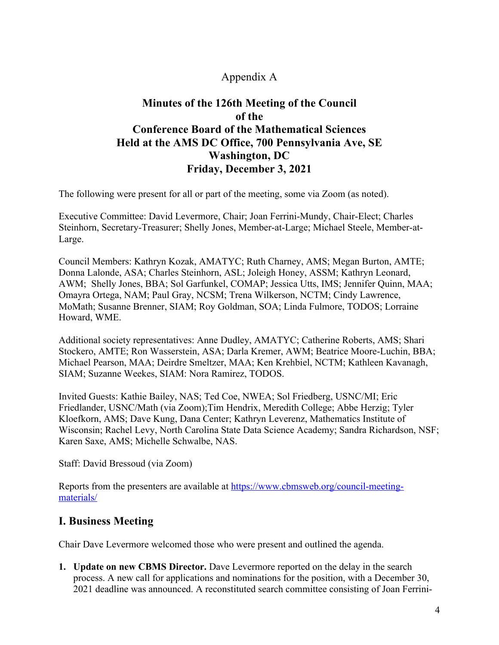# Appendix A

# **Minutes of the 126th Meeting of the Council of the Conference Board of the Mathematical Sciences Held at the AMS DC Office, 700 Pennsylvania Ave, SE Washington, DC Friday, December 3, 2021**

The following were present for all or part of the meeting, some via Zoom (as noted).

Executive Committee: David Levermore, Chair; Joan Ferrini-Mundy, Chair-Elect; Charles Steinhorn, Secretary-Treasurer; Shelly Jones, Member-at-Large; Michael Steele, Member-at-Large.

Council Members: Kathryn Kozak, AMATYC; Ruth Charney, AMS; Megan Burton, AMTE; Donna Lalonde, ASA; Charles Steinhorn, ASL; Joleigh Honey, ASSM; Kathryn Leonard, AWM; Shelly Jones, BBA; Sol Garfunkel, COMAP; Jessica Utts, IMS; Jennifer Quinn, MAA; Omayra Ortega, NAM; Paul Gray, NCSM; Trena Wilkerson, NCTM; Cindy Lawrence, MoMath; Susanne Brenner, SIAM; Roy Goldman, SOA; Linda Fulmore, TODOS; Lorraine Howard, WME.

Additional society representatives: Anne Dudley, AMATYC; Catherine Roberts, AMS; Shari Stockero, AMTE; Ron Wasserstein, ASA; Darla Kremer, AWM; Beatrice Moore-Luchin, BBA; Michael Pearson, MAA; Deirdre Smeltzer, MAA; Ken Krehbiel, NCTM; Kathleen Kavanagh, SIAM; Suzanne Weekes, SIAM: Nora Ramirez, TODOS.

Invited Guests: Kathie Bailey, NAS; Ted Coe, NWEA; Sol Friedberg, USNC/MI; Eric Friedlander, USNC/Math (via Zoom);Tim Hendrix, Meredith College; Abbe Herzig; Tyler Kloefkorn, AMS; Dave Kung, Dana Center; Kathryn Leverenz, Mathematics Institute of Wisconsin; Rachel Levy, North Carolina State Data Science Academy; Sandra Richardson, NSF; Karen Saxe, AMS; Michelle Schwalbe, NAS.

Staff: David Bressoud (via Zoom)

Reports from the presenters are available at https://www.cbmsweb.org/council-meetingmaterials/

# **I. Business Meeting**

Chair Dave Levermore welcomed those who were present and outlined the agenda.

**1. Update on new CBMS Director.** Dave Levermore reported on the delay in the search process. A new call for applications and nominations for the position, with a December 30, 2021 deadline was announced. A reconstituted search committee consisting of Joan Ferrini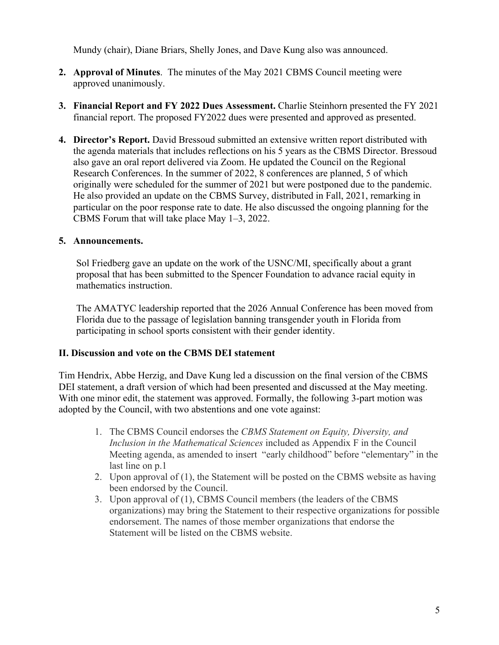Mundy (chair), Diane Briars, Shelly Jones, and Dave Kung also was announced.

- **2. Approval of Minutes**. The minutes of the May 2021 CBMS Council meeting were approved unanimously.
- **3. Financial Report and FY 2022 Dues Assessment.** Charlie Steinhorn presented the FY 2021 financial report. The proposed FY2022 dues were presented and approved as presented.
- **4. Director's Report.** David Bressoud submitted an extensive written report distributed with the agenda materials that includes reflections on his 5 years as the CBMS Director. Bressoud also gave an oral report delivered via Zoom. He updated the Council on the Regional Research Conferences. In the summer of 2022, 8 conferences are planned, 5 of which originally were scheduled for the summer of 2021 but were postponed due to the pandemic. He also provided an update on the CBMS Survey, distributed in Fall, 2021, remarking in particular on the poor response rate to date. He also discussed the ongoing planning for the CBMS Forum that will take place May 1–3, 2022.

# **5. Announcements.**

Sol Friedberg gave an update on the work of the USNC/MI, specifically about a grant proposal that has been submitted to the Spencer Foundation to advance racial equity in mathematics instruction.

The AMATYC leadership reported that the 2026 Annual Conference has been moved from Florida due to the passage of legislation banning transgender youth in Florida from participating in school sports consistent with their gender identity.

# **II. Discussion and vote on the CBMS DEI statement**

Tim Hendrix, Abbe Herzig, and Dave Kung led a discussion on the final version of the CBMS DEI statement, a draft version of which had been presented and discussed at the May meeting. With one minor edit, the statement was approved. Formally, the following 3-part motion was adopted by the Council, with two abstentions and one vote against:

- 1. The CBMS Council endorses the *CBMS Statement on Equity, Diversity, and Inclusion in the Mathematical Sciences* included as Appendix F in the Council Meeting agenda, as amended to insert "early childhood" before "elementary" in the last line on p.1
- 2. Upon approval of (1), the Statement will be posted on the CBMS website as having been endorsed by the Council.
- 3. Upon approval of (1), CBMS Council members (the leaders of the CBMS organizations) may bring the Statement to their respective organizations for possible endorsement. The names of those member organizations that endorse the Statement will be listed on the CBMS website.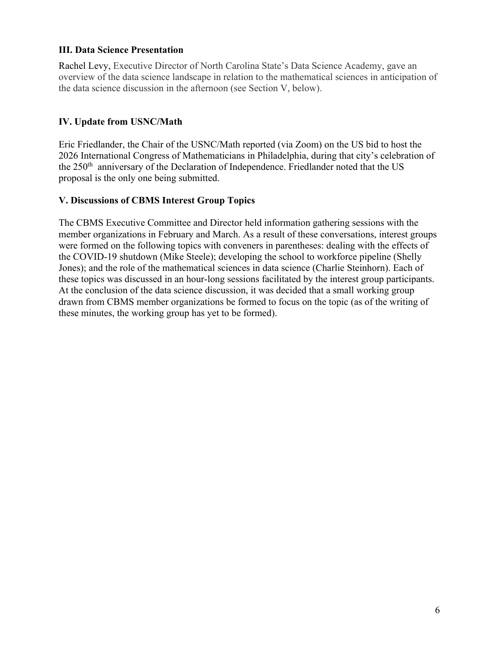# **III. Data Science Presentation**

Rachel Levy, Executive Director of North Carolina State's Data Science Academy, gave an overview of the data science landscape in relation to the mathematical sciences in anticipation of the data science discussion in the afternoon (see Section V, below).

# **IV. Update from USNC/Math**

Eric Friedlander, the Chair of the USNC/Math reported (via Zoom) on the US bid to host the 2026 International Congress of Mathematicians in Philadelphia, during that city's celebration of the 250<sup>th</sup> anniversary of the Declaration of Independence. Friedlander noted that the US proposal is the only one being submitted.

### **V. Discussions of CBMS Interest Group Topics**

The CBMS Executive Committee and Director held information gathering sessions with the member organizations in February and March. As a result of these conversations, interest groups were formed on the following topics with conveners in parentheses: dealing with the effects of the COVID-19 shutdown (Mike Steele); developing the school to workforce pipeline (Shelly Jones); and the role of the mathematical sciences in data science (Charlie Steinhorn). Each of these topics was discussed in an hour-long sessions facilitated by the interest group participants. At the conclusion of the data science discussion, it was decided that a small working group drawn from CBMS member organizations be formed to focus on the topic (as of the writing of these minutes, the working group has yet to be formed).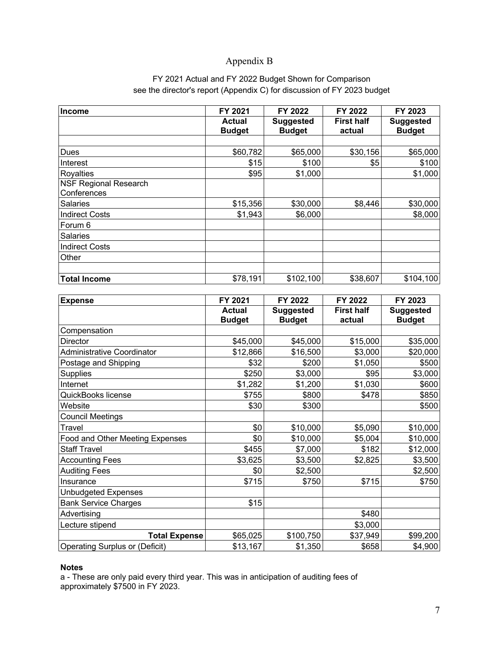# Appendix B

# FY 2021 Actual and FY 2022 Budget Shown for Comparison see the director's report (Appendix C) for discussion of FY 2023 budget

| Income                                      | FY 2021                        | FY 2022                           | FY 2022                     | FY 2023                           |
|---------------------------------------------|--------------------------------|-----------------------------------|-----------------------------|-----------------------------------|
|                                             | <b>Actual</b><br><b>Budget</b> | <b>Suggested</b><br><b>Budget</b> | <b>First half</b><br>actual | <b>Suggested</b><br><b>Budget</b> |
|                                             |                                |                                   |                             |                                   |
| Dues                                        | \$60,782                       | \$65,000                          | \$30,156                    | \$65,000                          |
| Interest                                    | \$15                           | \$100                             | \$5                         | \$100                             |
| <b>Royalties</b>                            | \$95                           | \$1,000                           |                             | \$1,000                           |
| <b>NSF Regional Research</b><br>Conferences |                                |                                   |                             |                                   |
| Salaries                                    | \$15,356                       | \$30,000                          | \$8,446                     | \$30,000                          |
| <b>Indirect Costs</b>                       | \$1,943                        | \$6,000                           |                             | \$8,000                           |
| Forum 6                                     |                                |                                   |                             |                                   |
| <b>Salaries</b>                             |                                |                                   |                             |                                   |
| <b>Indirect Costs</b>                       |                                |                                   |                             |                                   |
| Other                                       |                                |                                   |                             |                                   |
| <b>Total Income</b>                         | \$78,191                       | \$102,100                         | \$38,607                    | \$104,100                         |

| <b>Expense</b>                         | FY 2021       | FY 2022          | FY 2022           | FY 2023          |
|----------------------------------------|---------------|------------------|-------------------|------------------|
|                                        | <b>Actual</b> | <b>Suggested</b> | <b>First half</b> | <b>Suggested</b> |
|                                        | <b>Budget</b> | <b>Budget</b>    | actual            | <b>Budget</b>    |
| Compensation                           |               |                  |                   |                  |
| <b>Director</b>                        | \$45,000      | \$45,000         | \$15,000          | \$35,000         |
| <b>Administrative Coordinator</b>      | \$12,866      | \$16,500         | \$3,000           | \$20,000         |
| Postage and Shipping                   | \$32          | \$200            | \$1,050           | \$500            |
| <b>Supplies</b>                        | \$250         | \$3,000          | \$95              | \$3,000          |
| Internet                               | \$1,282       | \$1,200          | \$1,030           | \$600            |
| QuickBooks license                     | \$755         | \$800            | \$478             | \$850            |
| Website                                | \$30          | \$300            |                   | \$500            |
| <b>Council Meetings</b>                |               |                  |                   |                  |
| Travel                                 | \$0           | \$10,000         | \$5,090           | \$10,000         |
| <b>Food and Other Meeting Expenses</b> | \$0           | \$10,000         | \$5,004           | \$10,000         |
| <b>Staff Travel</b>                    | \$455         | \$7,000          | \$182             | \$12,000         |
| <b>Accounting Fees</b>                 | \$3,625       | \$3,500          | \$2,825           | \$3,500          |
| <b>Auditing Fees</b>                   | \$0           | \$2,500          |                   | \$2,500          |
| Insurance                              | \$715         | \$750            | \$715             | \$750            |
| <b>Unbudgeted Expenses</b>             |               |                  |                   |                  |
| <b>Bank Service Charges</b>            | \$15          |                  |                   |                  |
| Advertising                            |               |                  | \$480             |                  |
| Lecture stipend                        |               |                  | \$3,000           |                  |
| <b>Total Expense</b>                   | \$65,025      | \$100,750        | \$37,949          | \$99,200         |
| <b>Operating Surplus or (Deficit)</b>  | \$13,167      | \$1,350          | \$658             | \$4,900          |

#### **Notes**

a - These are only paid every third year. This was in anticipation of auditing fees of approximately \$7500 in FY 2023.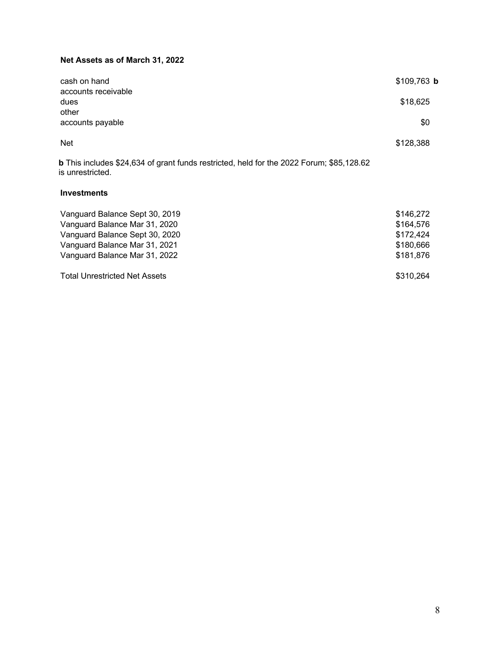# **Net Assets as of March 31, 2022**

| cash on hand<br>accounts receivable | $$109,763$ b        |
|-------------------------------------|---------------------|
| dues<br>other                       | \$18,625            |
| accounts payable                    | \$0                 |
| <b>Net</b>                          | \$128,388           |
| $\blacksquare$<br>____              | $A - A - A - A - A$ |

**b** This includes \$24,634 of grant funds restricted, held for the 2022 Forum; \$85,128.62 **is unrestricted.** 

#### **Investments**

| Vanguard Balance Sept 30, 2019       | \$146,272 |
|--------------------------------------|-----------|
| Vanguard Balance Mar 31, 2020        | \$164,576 |
| Vanguard Balance Sept 30, 2020       | \$172,424 |
| Vanguard Balance Mar 31, 2021        | \$180,666 |
| Vanguard Balance Mar 31, 2022        | \$181,876 |
| <b>Total Unrestricted Net Assets</b> | \$310,264 |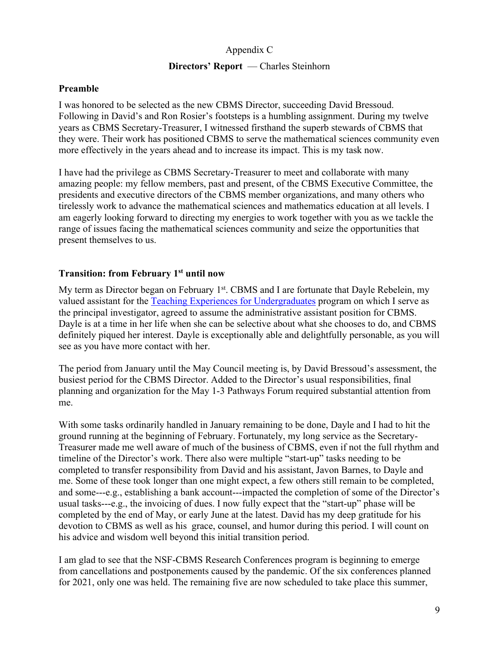# Appendix C

## **Directors' Report** — Charles Steinhorn

# **Preamble**

I was honored to be selected as the new CBMS Director, succeeding David Bressoud. Following in David's and Ron Rosier's footsteps is a humbling assignment. During my twelve years as CBMS Secretary-Treasurer, I witnessed firsthand the superb stewards of CBMS that they were. Their work has positioned CBMS to serve the mathematical sciences community even more effectively in the years ahead and to increase its impact. This is my task now.

I have had the privilege as CBMS Secretary-Treasurer to meet and collaborate with many amazing people: my fellow members, past and present, of the CBMS Executive Committee, the presidents and executive directors of the CBMS member organizations, and many others who tirelessly work to advance the mathematical sciences and mathematics education at all levels. I am eagerly looking forward to directing my energies to work together with you as we tackle the range of issues facing the mathematical sciences community and seize the opportunities that present themselves to us.

# **Transition: from February 1st until now**

My term as Director began on February 1<sup>st</sup>. CBMS and I are fortunate that Dayle Rebelein, my valued assistant for the Teaching Experiences for Undergraduates program on which I serve as the principal investigator, agreed to assume the administrative assistant position for CBMS. Dayle is at a time in her life when she can be selective about what she chooses to do, and CBMS definitely piqued her interest. Dayle is exceptionally able and delightfully personable, as you will see as you have more contact with her.

The period from January until the May Council meeting is, by David Bressoud's assessment, the busiest period for the CBMS Director. Added to the Director's usual responsibilities, final planning and organization for the May 1-3 Pathways Forum required substantial attention from me.

With some tasks ordinarily handled in January remaining to be done, Dayle and I had to hit the ground running at the beginning of February. Fortunately, my long service as the Secretary-Treasurer made me well aware of much of the business of CBMS, even if not the full rhythm and timeline of the Director's work. There also were multiple "start-up" tasks needing to be completed to transfer responsibility from David and his assistant, Javon Barnes, to Dayle and me. Some of these took longer than one might expect, a few others still remain to be completed, and some---e.g., establishing a bank account---impacted the completion of some of the Director's usual tasks---e.g., the invoicing of dues. I now fully expect that the "start-up" phase will be completed by the end of May, or early June at the latest. David has my deep gratitude for his devotion to CBMS as well as his grace, counsel, and humor during this period. I will count on his advice and wisdom well beyond this initial transition period.

I am glad to see that the NSF-CBMS Research Conferences program is beginning to emerge from cancellations and postponements caused by the pandemic. Of the six conferences planned for 2021, only one was held. The remaining five are now scheduled to take place this summer,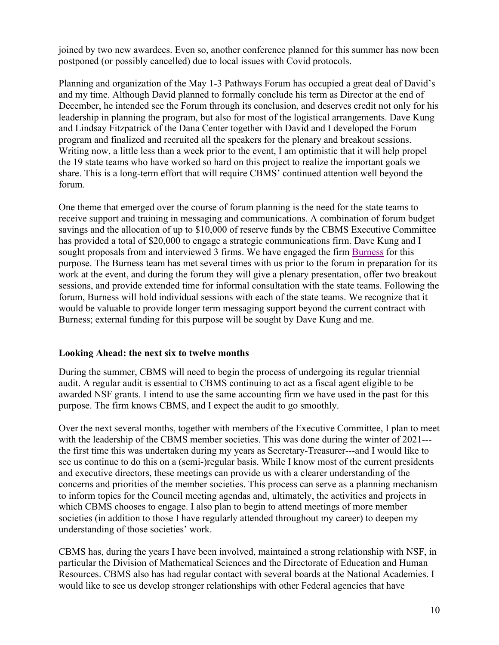joined by two new awardees. Even so, another conference planned for this summer has now been postponed (or possibly cancelled) due to local issues with Covid protocols.

Planning and organization of the May 1-3 Pathways Forum has occupied a great deal of David's and my time. Although David planned to formally conclude his term as Director at the end of December, he intended see the Forum through its conclusion, and deserves credit not only for his leadership in planning the program, but also for most of the logistical arrangements. Dave Kung and Lindsay Fitzpatrick of the Dana Center together with David and I developed the Forum program and finalized and recruited all the speakers for the plenary and breakout sessions. Writing now, a little less than a week prior to the event, I am optimistic that it will help propel the 19 state teams who have worked so hard on this project to realize the important goals we share. This is a long-term effort that will require CBMS' continued attention well beyond the forum.

One theme that emerged over the course of forum planning is the need for the state teams to receive support and training in messaging and communications. A combination of forum budget savings and the allocation of up to \$10,000 of reserve funds by the CBMS Executive Committee has provided a total of \$20,000 to engage a strategic communications firm. Dave Kung and I sought proposals from and interviewed 3 firms. We have engaged the firm Burness for this purpose. The Burness team has met several times with us prior to the forum in preparation for its work at the event, and during the forum they will give a plenary presentation, offer two breakout sessions, and provide extended time for informal consultation with the state teams. Following the forum, Burness will hold individual sessions with each of the state teams. We recognize that it would be valuable to provide longer term messaging support beyond the current contract with Burness; external funding for this purpose will be sought by Dave Kung and me.

# **Looking Ahead: the next six to twelve months**

During the summer, CBMS will need to begin the process of undergoing its regular triennial audit. A regular audit is essential to CBMS continuing to act as a fiscal agent eligible to be awarded NSF grants. I intend to use the same accounting firm we have used in the past for this purpose. The firm knows CBMS, and I expect the audit to go smoothly.

Over the next several months, together with members of the Executive Committee, I plan to meet with the leadership of the CBMS member societies. This was done during the winter of 2021--the first time this was undertaken during my years as Secretary-Treasurer---and I would like to see us continue to do this on a (semi-)regular basis. While I know most of the current presidents and executive directors, these meetings can provide us with a clearer understanding of the concerns and priorities of the member societies. This process can serve as a planning mechanism to inform topics for the Council meeting agendas and, ultimately, the activities and projects in which CBMS chooses to engage. I also plan to begin to attend meetings of more member societies (in addition to those I have regularly attended throughout my career) to deepen my understanding of those societies' work.

CBMS has, during the years I have been involved, maintained a strong relationship with NSF, in particular the Division of Mathematical Sciences and the Directorate of Education and Human Resources. CBMS also has had regular contact with several boards at the National Academies. I would like to see us develop stronger relationships with other Federal agencies that have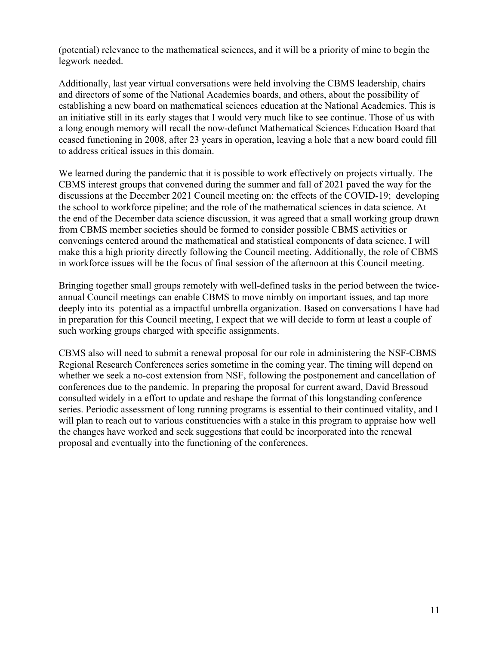(potential) relevance to the mathematical sciences, and it will be a priority of mine to begin the legwork needed.

Additionally, last year virtual conversations were held involving the CBMS leadership, chairs and directors of some of the National Academies boards, and others, about the possibility of establishing a new board on mathematical sciences education at the National Academies. This is an initiative still in its early stages that I would very much like to see continue. Those of us with a long enough memory will recall the now-defunct Mathematical Sciences Education Board that ceased functioning in 2008, after 23 years in operation, leaving a hole that a new board could fill to address critical issues in this domain.

We learned during the pandemic that it is possible to work effectively on projects virtually. The CBMS interest groups that convened during the summer and fall of 2021 paved the way for the discussions at the December 2021 Council meeting on: the effects of the COVID-19; developing the school to workforce pipeline; and the role of the mathematical sciences in data science. At the end of the December data science discussion, it was agreed that a small working group drawn from CBMS member societies should be formed to consider possible CBMS activities or convenings centered around the mathematical and statistical components of data science. I will make this a high priority directly following the Council meeting. Additionally, the role of CBMS in workforce issues will be the focus of final session of the afternoon at this Council meeting.

Bringing together small groups remotely with well-defined tasks in the period between the twiceannual Council meetings can enable CBMS to move nimbly on important issues, and tap more deeply into its potential as a impactful umbrella organization. Based on conversations I have had in preparation for this Council meeting, I expect that we will decide to form at least a couple of such working groups charged with specific assignments.

CBMS also will need to submit a renewal proposal for our role in administering the NSF-CBMS Regional Research Conferences series sometime in the coming year. The timing will depend on whether we seek a no-cost extension from NSF, following the postponement and cancellation of conferences due to the pandemic. In preparing the proposal for current award, David Bressoud consulted widely in a effort to update and reshape the format of this longstanding conference series. Periodic assessment of long running programs is essential to their continued vitality, and I will plan to reach out to various constituencies with a stake in this program to appraise how well the changes have worked and seek suggestions that could be incorporated into the renewal proposal and eventually into the functioning of the conferences.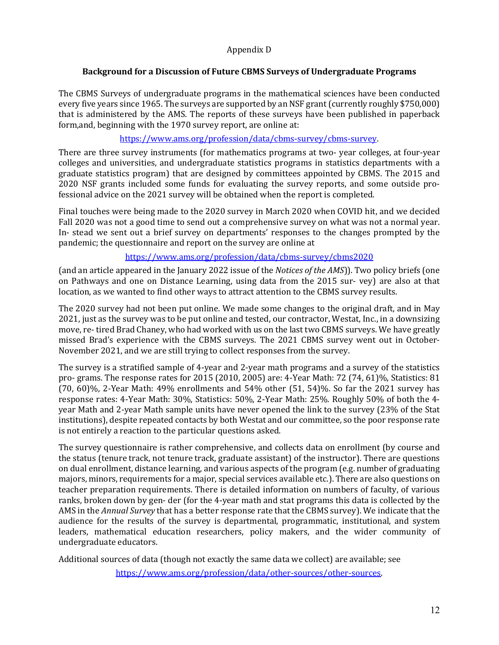## Appendix D

## Background for a Discussion of Future CBMS Surveys of Undergraduate Programs

The CBMS Surveys of undergraduate programs in the mathematical sciences have been conducted every five years since 1965. The surveys are supported by an NSF grant (currently roughly \$750,000) that is administered by the AMS. The reports of these surveys have been published in paperback form, and, beginning with the 1970 survey report, are online at:

## https://www.ams.org/profession/data/cbms-survey/cbms-survey.

There are three survey instruments (for mathematics programs at two- year colleges, at four-year colleges and universities, and undergraduate statistics programs in statistics departments with a graduate statistics program) that are designed by committees appointed by CBMS. The 2015 and 2020 NSF grants included some funds for evaluating the survey reports, and some outside professional advice on the 2021 survey will be obtained when the report is completed.

Final touches were being made to the 2020 survey in March 2020 when COVID hit, and we decided Fall 2020 was not a good time to send out a comprehensive survey on what was not a normal year. In- stead we sent out a brief survey on departments' responses to the changes prompted by the pandemic; the questionnaire and report on the survey are online at

# https://www.ams.org/profession/data/cbms-survey/cbms2020

(and an article appeared in the January 2022 issue of the *Notices of the AMS*)). Two policy briefs (one on Pathways and one on Distance Learning, using data from the 2015 sur- vey) are also at that location, as we wanted to find other ways to attract attention to the CBMS survey results.

The 2020 survey had not been put online. We made some changes to the original draft, and in May 2021, just as the survey was to be put online and tested, our contractor, Westat, Inc., in a downsizing move, re- tired Brad Chaney, who had worked with us on the last two CBMS surveys. We have greatly missed Brad's experience with the CBMS surveys. The 2021 CBMS survey went out in October-November 2021, and we are still trying to collect responses from the survey.

The survey is a stratified sample of 4-year and 2-year math programs and a survey of the statistics pro- grams. The response rates for 2015 (2010, 2005) are:  $4$ -Year Math: 72 (74, 61)%, Statistics: 81  $(70, 60)\%$ , 2-Year Math: 49% enrollments and 54% other  $(51, 54)\%$ . So far the 2021 survey has response rates: 4-Year Math: 30%, Statistics: 50%, 2-Year Math: 25%. Roughly 50% of both the 4year Math and 2-year Math sample units have never opened the link to the survey (23% of the Stat institutions), despite repeated contacts by both Westat and our committee, so the poor response rate is not entirely a reaction to the particular questions asked.

The survey questionnaire is rather comprehensive, and collects data on enrollment (by course and the status (tenure track, not tenure track, graduate assistant) of the instructor). There are questions on dual enrollment, distance learning, and various aspects of the program (e.g. number of graduating majors, minors, requirements for a major, special services available etc.). There are also questions on teacher preparation requirements. There is detailed information on numbers of faculty, of various ranks, broken down by gen-der (for the 4-year math and stat programs this data is collected by the AMS in the *Annual Survey* that has a better response rate that the CBMS survey). We indicate that the audience for the results of the survey is departmental, programmatic, institutional, and system leaders, mathematical education researchers, policy makers, and the wider community of undergraduate educators.

Additional sources of data (though not exactly the same data we collect) are available; see

https://www.ams.org/profession/data/other-sources/other-sources.